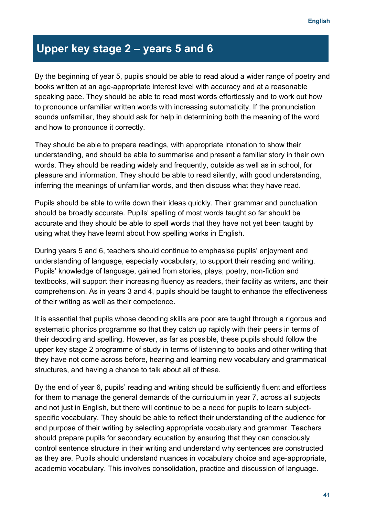# **Upper key stage 2 – years 5 and 6**

By the beginning of year 5, pupils should be able to read aloud a wider range of poetry and books written at an age-appropriate interest level with accuracy and at a reasonable speaking pace. They should be able to read most words effortlessly and to work out how to pronounce unfamiliar written words with increasing automaticity. If the pronunciation sounds unfamiliar, they should ask for help in determining both the meaning of the word and how to pronounce it correctly.

They should be able to prepare readings, with appropriate intonation to show their understanding, and should be able to summarise and present a familiar story in their own words. They should be reading widely and frequently, outside as well as in school, for pleasure and information. They should be able to read silently, with good understanding, inferring the meanings of unfamiliar words, and then discuss what they have read.

Pupils should be able to write down their ideas quickly. Their grammar and punctuation should be broadly accurate. Pupils' spelling of most words taught so far should be accurate and they should be able to spell words that they have not yet been taught by using what they have learnt about how spelling works in English.

During years 5 and 6, teachers should continue to emphasise pupils' enjoyment and understanding of language, especially vocabulary, to support their reading and writing. Pupils' knowledge of language, gained from stories, plays, poetry, non-fiction and textbooks, will support their increasing fluency as readers, their facility as writers, and their comprehension. As in years 3 and 4, pupils should be taught to enhance the effectiveness of their writing as well as their competence.

It is essential that pupils whose decoding skills are poor are taught through a rigorous and systematic phonics programme so that they catch up rapidly with their peers in terms of their decoding and spelling. However, as far as possible, these pupils should follow the upper key stage 2 programme of study in terms of listening to books and other writing that they have not come across before, hearing and learning new vocabulary and grammatical structures, and having a chance to talk about all of these.

By the end of year 6, pupils' reading and writing should be sufficiently fluent and effortless for them to manage the general demands of the curriculum in year 7, across all subjects and not just in English, but there will continue to be a need for pupils to learn subjectspecific vocabulary. They should be able to reflect their understanding of the audience for and purpose of their writing by selecting appropriate vocabulary and grammar. Teachers should prepare pupils for secondary education by ensuring that they can consciously control sentence structure in their writing and understand why sentences are constructed as they are. Pupils should understand nuances in vocabulary choice and age-appropriate, academic vocabulary. This involves consolidation, practice and discussion of language.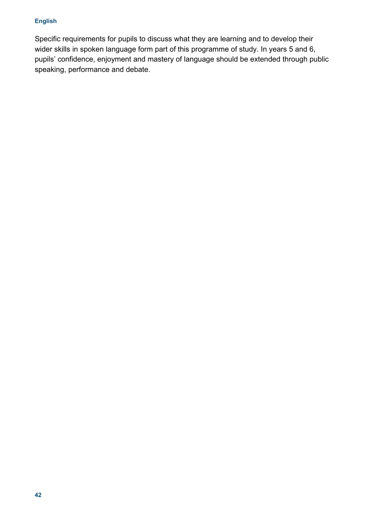#### **English**

Specific requirements for pupils to discuss what they are learning and to develop their wider skills in spoken language form part of this programme of study. In years 5 and 6, pupils' confidence, enjoyment and mastery of language should be extended through public speaking, performance and debate.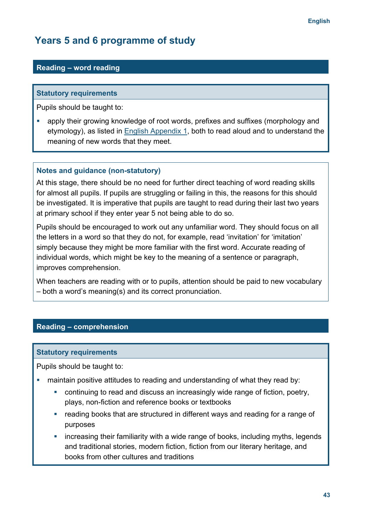## **Years 5 and 6 programme of study**

## **Reading – word reading**

#### **Statutory requirements**

Pupils should be taught to:

 apply their growing knowledge of root words, prefixes and suffixes (morphology and etymology), as listed in English Appendix 1, both to read aloud and to understand the meaning of new words that they meet.

#### **Notes and guidance (non-statutory)**

At this stage, there should be no need for further direct teaching of word reading skills for almost all pupils. If pupils are struggling or failing in this, the reasons for this should be investigated. It is imperative that pupils are taught to read during their last two years at primary school if they enter year 5 not being able to do so.

Pupils should be encouraged to work out any unfamiliar word. They should focus on all the letters in a word so that they do not, for example, read 'invitation' for 'imitation' simply because they might be more familiar with the first word. Accurate reading of individual words, which might be key to the meaning of a sentence or paragraph, improves comprehension.

When teachers are reading with or to pupils, attention should be paid to new vocabulary – both a word's meaning(s) and its correct pronunciation.

## **Reading – comprehension**

#### **Statutory requirements**

Pupils should be taught to:

- maintain positive attitudes to reading and understanding of what they read by:
	- continuing to read and discuss an increasingly wide range of fiction, poetry, plays, non-fiction and reference books or textbooks
	- **•** reading books that are structured in different ways and reading for a range of purposes
	- **EXTERGHED increasing their familiarity with a wide range of books, including myths, legends** and traditional stories, modern fiction, fiction from our literary heritage, and books from other cultures and traditions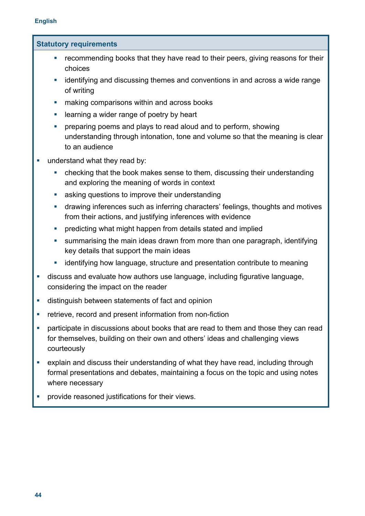|                               | <b>English</b>                                                                                                                                                                             |
|-------------------------------|--------------------------------------------------------------------------------------------------------------------------------------------------------------------------------------------|
| <b>Statutory requirements</b> |                                                                                                                                                                                            |
|                               | recommending books that they have read to their peers, giving reasons for their<br>×.<br>choices                                                                                           |
|                               | identifying and discussing themes and conventions in and across a wide range<br>u,<br>of writing                                                                                           |
|                               | making comparisons within and across books<br>×.                                                                                                                                           |
|                               | learning a wider range of poetry by heart<br>×.                                                                                                                                            |
|                               | preparing poems and plays to read aloud and to perform, showing<br>H.<br>understanding through intonation, tone and volume so that the meaning is clear<br>to an audience                  |
|                               | understand what they read by:                                                                                                                                                              |
|                               | checking that the book makes sense to them, discussing their understanding<br>п<br>and exploring the meaning of words in context                                                           |
|                               | asking questions to improve their understanding<br>×.                                                                                                                                      |
|                               | drawing inferences such as inferring characters' feelings, thoughts and motives<br>×.<br>from their actions, and justifying inferences with evidence                                       |
|                               | predicting what might happen from details stated and implied<br>×.                                                                                                                         |
|                               | summarising the main ideas drawn from more than one paragraph, identifying<br>u,<br>key details that support the main ideas                                                                |
|                               | identifying how language, structure and presentation contribute to meaning<br>×.                                                                                                           |
|                               | discuss and evaluate how authors use language, including figurative language,<br>considering the impact on the reader                                                                      |
| ×.                            | distinguish between statements of fact and opinion                                                                                                                                         |
| ш                             | retrieve, record and present information from non-fiction                                                                                                                                  |
| ш                             | participate in discussions about books that are read to them and those they can read<br>for themselves, building on their own and others' ideas and challenging views<br>courteously       |
| ш                             | explain and discuss their understanding of what they have read, including through<br>formal presentations and debates, maintaining a focus on the topic and using notes<br>where necessary |
|                               | provide reasoned justifications for their views.                                                                                                                                           |
|                               |                                                                                                                                                                                            |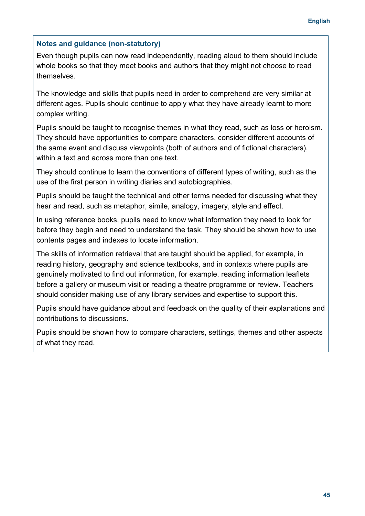### **Notes and guidance (non-statutory)**

Even though pupils can now read independently, reading aloud to them should include whole books so that they meet books and authors that they might not choose to read themselves.

The knowledge and skills that pupils need in order to comprehend are very similar at different ages. Pupils should continue to apply what they have already learnt to more complex writing.

Pupils should be taught to recognise themes in what they read, such as loss or heroism. They should have opportunities to compare characters, consider different accounts of the same event and discuss viewpoints (both of authors and of fictional characters), within a text and across more than one text.

They should continue to learn the conventions of different types of writing, such as the use of the first person in writing diaries and autobiographies.

Pupils should be taught the technical and other terms needed for discussing what they hear and read, such as metaphor, simile, analogy, imagery, style and effect.

In using reference books, pupils need to know what information they need to look for before they begin and need to understand the task. They should be shown how to use contents pages and indexes to locate information.

The skills of information retrieval that are taught should be applied, for example, in reading history, geography and science textbooks, and in contexts where pupils are genuinely motivated to find out information, for example, reading information leaflets before a gallery or museum visit or reading a theatre programme or review. Teachers should consider making use of any library services and expertise to support this.

Pupils should have guidance about and feedback on the quality of their explanations and contributions to discussions.

Pupils should be shown how to compare characters, settings, themes and other aspects of what they read.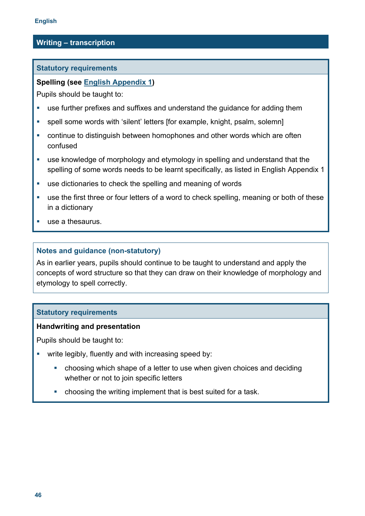## **Writing – transcription**

#### **Statutory requirements**

## **Spelling (see English Appendix 1)**

Pupils should be taught to:

- use further prefixes and suffixes and understand the guidance for adding them
- spell some words with 'silent' letters [for example, knight, psalm, solemn]
- continue to distinguish between homophones and other words which are often confused
- use knowledge of morphology and etymology in spelling and understand that the spelling of some words needs to be learnt specifically, as listed in English Appendix 1
- use dictionaries to check the spelling and meaning of words
- use the first three or four letters of a word to check spelling, meaning or both of these in a dictionary
- use a thesaurus.

## **Notes and guidance (non-statutory)**

As in earlier years, pupils should continue to be taught to understand and apply the concepts of word structure so that they can draw on their knowledge of morphology and etymology to spell correctly.

#### **Statutory requirements**

#### **Handwriting and presentation**

Pupils should be taught to:

- **•** write legibly, fluently and with increasing speed by:
	- choosing which shape of a letter to use when given choices and deciding whether or not to join specific letters
	- choosing the writing implement that is best suited for a task.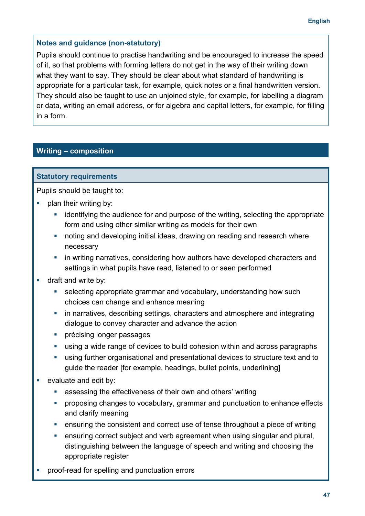#### **Notes and guidance (non-statutory)**

Pupils should continue to practise handwriting and be encouraged to increase the speed of it, so that problems with forming letters do not get in the way of their writing down what they want to say. They should be clear about what standard of handwriting is appropriate for a particular task, for example, quick notes or a final handwritten version. They should also be taught to use an unjoined style, for example, for labelling a diagram or data, writing an email address, or for algebra and capital letters, for example, for filling in a form.

## **Writing – composition**

## **Statutory requirements**

Pupils should be taught to:

- plan their writing by:
	- **EXT** identifying the audience for and purpose of the writing, selecting the appropriate form and using other similar writing as models for their own
	- noting and developing initial ideas, drawing on reading and research where necessary
	- **EXTERN** in writing narratives, considering how authors have developed characters and settings in what pupils have read, listened to or seen performed

## **draft and write by:**

- selecting appropriate grammar and vocabulary, understanding how such choices can change and enhance meaning
- in narratives, describing settings, characters and atmosphere and integrating dialogue to convey character and advance the action
- **précising longer passages**
- using a wide range of devices to build cohesion within and across paragraphs
- using further organisational and presentational devices to structure text and to guide the reader [for example, headings, bullet points, underlining]
- evaluate and edit by:
	- **assessing the effectiveness of their own and others' writing**
	- **PED Proposing changes to vocabulary, grammar and punctuation to enhance effects** and clarify meaning
	- ensuring the consistent and correct use of tense throughout a piece of writing
	- ensuring correct subject and verb agreement when using singular and plural, distinguishing between the language of speech and writing and choosing the appropriate register
- proof-read for spelling and punctuation errors